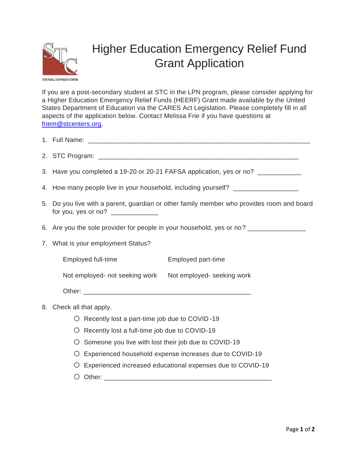

## Higher Education Emergency Relief Fund Grant Application

If you are a post-secondary student at STC in the LPN program, please consider applying for a Higher Education Emergency Relief Funds (HEERF) Grant made available by the United States Department of Education via the CARES Act Legislation. Please completely fill in all aspects of the application below. Contact Melissa Frie if you have questions at [friem@stcenters.org.](mailto:friem@stcenters.org)

|                             | 3. Have you completed a 19-20 or 20-21 FAFSA application, yes or no? ___________          |  |  |  |  |  |  |  |  |
|-----------------------------|-------------------------------------------------------------------------------------------|--|--|--|--|--|--|--|--|
|                             | 4. How many people live in your household, including yourself? _________________          |  |  |  |  |  |  |  |  |
|                             | 5. Do you live with a parent, guardian or other family member who provides room and board |  |  |  |  |  |  |  |  |
|                             | 6. Are you the sole provider for people in your household, yes or no? _________________   |  |  |  |  |  |  |  |  |
|                             | 7. What is your employment Status?                                                        |  |  |  |  |  |  |  |  |
|                             | Employed full-time<br>Employed part-time                                                  |  |  |  |  |  |  |  |  |
|                             | Not employed- not seeking work Not employed- seeking work                                 |  |  |  |  |  |  |  |  |
|                             |                                                                                           |  |  |  |  |  |  |  |  |
| Check all that apply.<br>8. |                                                                                           |  |  |  |  |  |  |  |  |
|                             | $\circ$ Recently lost a part-time job due to COVID-19                                     |  |  |  |  |  |  |  |  |
|                             | Recently lost a full-time job due to COVID-19<br>O                                        |  |  |  |  |  |  |  |  |
|                             | Someone you live with lost their job due to COVID-19<br>O                                 |  |  |  |  |  |  |  |  |
|                             | Experienced household expense increases due to COVID-19<br>Ő                              |  |  |  |  |  |  |  |  |
|                             | Experienced increased educational expenses due to COVID-19<br>O                           |  |  |  |  |  |  |  |  |
|                             |                                                                                           |  |  |  |  |  |  |  |  |
|                             |                                                                                           |  |  |  |  |  |  |  |  |